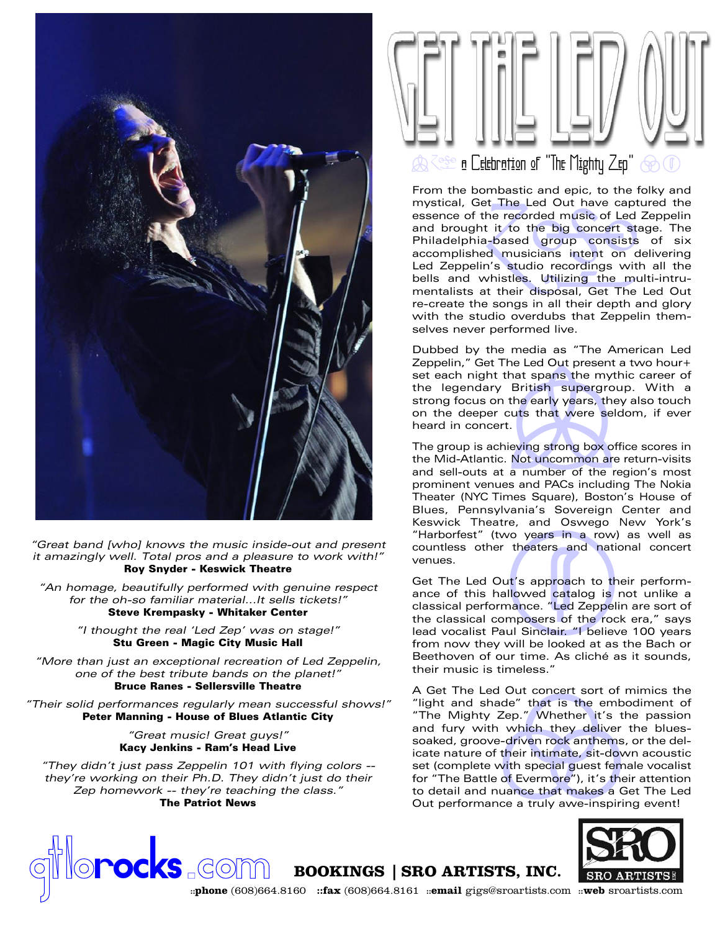

"Great band [who] knows the music inside-out and present it amazingly well. Total pros and a pleasure to work with!" Roy Snyder - Keswick Theatre

"An homage, beautifully performed with genuine respect for the oh-so familiar material...It sells tickets!" Steve Krempasky - Whitaker Center

> "I thought the real 'Led Zep' was on stage!" Stu Green - Magic City Music Hall

"More than just an exceptional recreation of Led Zeppelin, one of the best tribute bands on the planet!" Bruce Ranes - Sellersville Theatre

"Their solid performances regularly mean successful shows!" Peter Manning - House of Blues Atlantic City

> "Great music! Great guys!" Kacy Jenkins - Ram's Head Live

"They didn't just pass Zeppelin 101 with flying colors - they're working on their Ph.D. They didn't just do their Zep homework -- they're teaching the class." The Patriot News



et the Lea Out have capture<br>the recorded music of Led Z<br>a based group consists<br>ed musicians intent on de<br>in's studio recordings with<br>whistles. Utilizing the mul<br>at their disposal, Get The I<br>ne songs in all their depth and From the bombastic and epic, to the folky and mystical, Get The Led Out have captured the essence of the recorded music of Led Zeppelin and brought it to the big concert stage. The Philadelphia-based group consists of six accomplished musicians intent on delivering Led Zeppelin's studio recordings with all the bells and whistles. Utilizing the multi-intrumentalists at their disposal, Get The Led Out re-create the songs in all their depth and glory with the studio overdubs that Zeppelin themselves never performed live.

that spans the mythic contains the mythic contains the early years, they also<br>the early years, they also<br>cuts that were seldom,<br>t.<br>ieving strong box office s<br>Not uncommon are reture a number of the region Dubbed by the media as "The American Led Zeppelin," Get The Led Out present a two hour+ set each night that spans the mythic career of the legendary British supergroup. With a strong focus on the early years, they also touch on the deeper cuts that were seldom, if ever heard in concert.

The group is achieving strong box office scores in the Mid-Atlantic. Not uncommon are return-visits and sell-outs at a number of the region's most prominent venues and PACs including The Nokia Theater (NYC Times Square), Boston's House of Blues, Pennsylvania's Sovereign Center and Keswick Theatre, and Oswego New York's "Harborfest" (two years in a row) as well as countless other theaters and national concert venues.

vo years in a row) as v<br>theaters and national<br>ut's approach to their pe<br>allowed catalog is not u<br>mance. "Led Zeppelin are<br>mposers of the rock era<br>ul Sinclair. "I believe 100<br>15 inclair." I believe 100 Get The Led Out's approach to their performance of this hallowed catalog is not unlike a classical performance. "Led Zeppelin are sort of the classical composers of the rock era," says lead vocalist Paul Sinclair. "I believe 100 years from now they will be looked at as the Bach or Beethoven of our time. As cliché as it sounds, their music is timeless."

ade" that is the embo<br>Zep." Whether it's th<br>n which they deliver t<br>e-driven rock anthems,<br>f their intimate, sit-dow<br>with special guest female<br>a of Evermore"), it's their<br>nuance that makes a Ge<br>nce a truly awe-inspirin A Get The Led Out concert sort of mimics the "light and shade" that is the embodiment of "The Mighty Zep." Whether it's the passion and fury with which they deliver the bluessoaked, groove-driven rock anthems, or the delicate nature of their intimate, sit-down acoustic set (complete with special guest female vocalist for "The Battle of Evermore"), it's their attention to detail and nuance that makes a Get The Led and fury with which they deliver the blues-<br>soaked, groove-driven rock anthems, or the del-<br>icate nature of their intimate, sit-down acoustic<br>set (complete with special guest female vocalist<br>for "The Battle of Evermore"),



**gocks** com **Bookings** | SRO ARTISTS, INC.

**::phone** (608)664.8160 **::fax** (608)664.8161 **::email** gigs@sroartists.com **::web** sroartists.com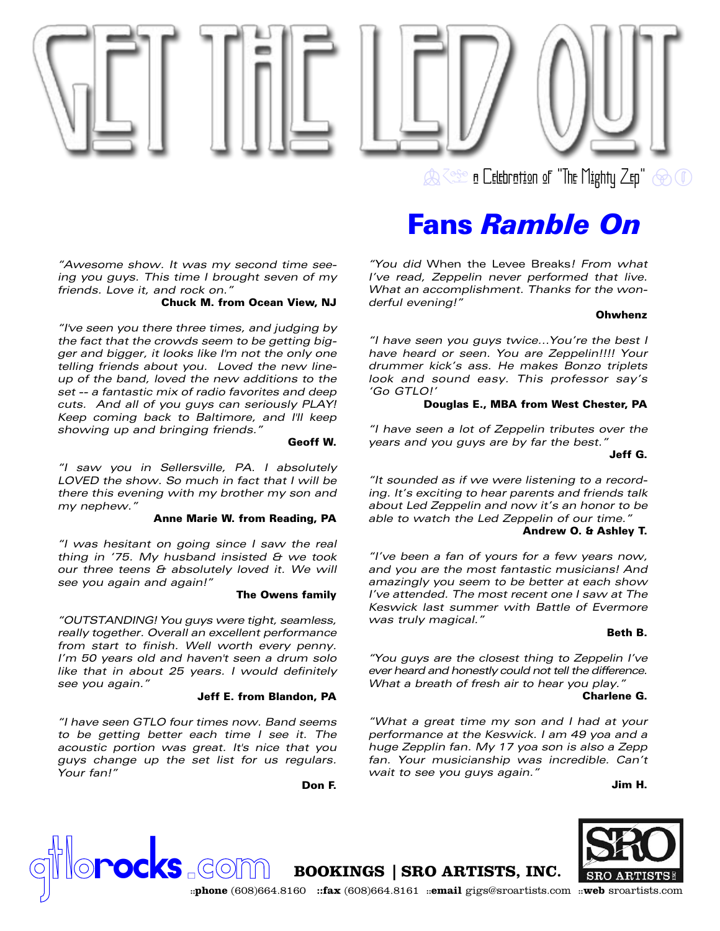

**B** a Celebration of "The Mighty Zep"  $\circledast$  O

## Fans *Ramble On*

"You did When the Levee Breaks! From what I've read, Zeppelin never performed that live. What an accomplishment. Thanks for the wonderful evening!"

### **Ohwhenz**

"I have seen you guys twice...You're the best I have heard or seen. You are Zeppelin!!!! Your drummer kick's ass. He makes Bonzo triplets look and sound easy. This professor say's 'Go GTLO!'

### Douglas E., MBA from West Chester, PA

"I have seen a lot of Zeppelin tributes over the years and you guys are by far the best."

## Jeff G.

"It sounded as if we were listening to a recording. It's exciting to hear parents and friends talk about Led Zeppelin and now it's an honor to be able to watch the Led Zeppelin of our time."

## Andrew O. & Ashley T.

"I've been a fan of yours for a few years now, and you are the most fantastic musicians! And amazingly you seem to be better at each show I've attended. The most recent one I saw at The Keswick last summer with Battle of Evermore was truly magical."

### Beth B.

"You guys are the closest thing to Zeppelin I've ever heard and honestly could not tell the difference. What a breath of fresh air to hear you play.'

### Charlene G.

"What a great time my son and I had at your performance at the Keswick. I am 49 yoa and a huge Zepplin fan. My 17 yoa son is also a Zepp fan. Your musicianship was incredible. Can't wait to see you guys again."

Jim H.



"Awesome show. It was my second time seeing you guys. This time I brought seven of my friends. Love it, and rock on."

## Chuck M. from Ocean View, NJ

"I've seen you there three times, and judging by the fact that the crowds seem to be getting bigger and bigger, it looks like I'm not the only one telling friends about you. Loved the new lineup of the band, loved the new additions to the set -- a fantastic mix of radio favorites and deep cuts. And all of you guys can seriously PLAY! Keep coming back to Baltimore, and I'll keep showing up and bringing friends."

Geoff W.

"I saw you in Sellersville, PA. I absolutely LOVED the show. So much in fact that I will be there this evening with my brother my son and my nephew."

### Anne Marie W. from Reading, PA

"I was hesitant on going since I saw the real thing in '75. My husband insisted  $\theta$  we took our three teens & absolutely loved it. We will see you again and again!"

### The Owens family

"OUTSTANDING! You guys were tight, seamless, really together. Overall an excellent performance from start to finish. Well worth every penny. I'm 50 years old and haven't seen a drum solo like that in about 25 years. I would definitely see you again."

### Jeff E. from Blandon, PA

"I have seen GTLO four times now. Band seems to be getting better each time I see it. The acoustic portion was great. It's nice that you guys change up the set list for us regulars. Your fan!"

Don F.

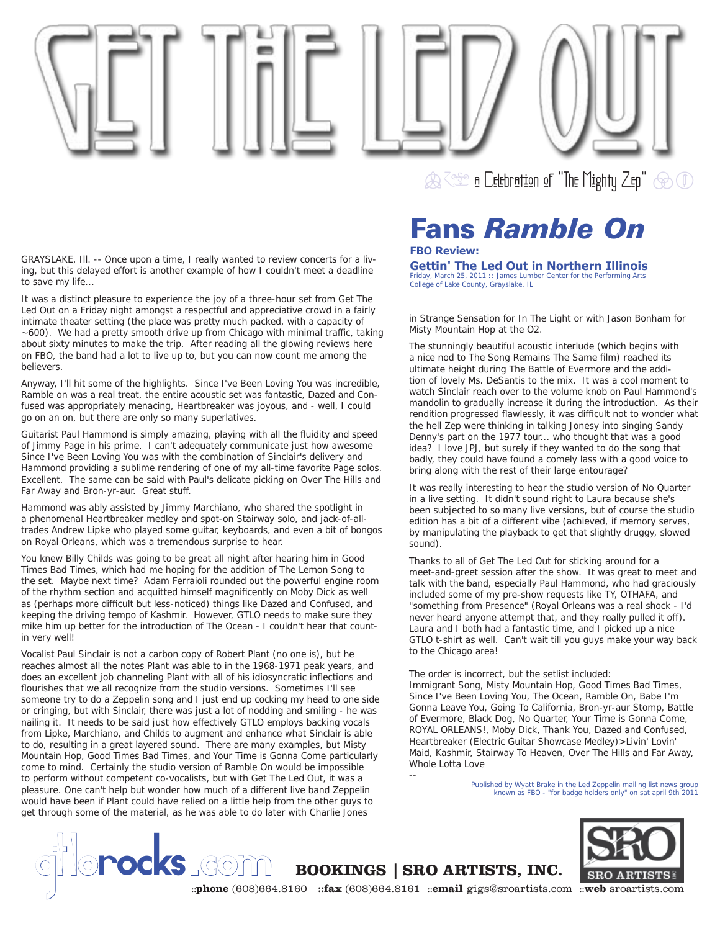

GRAYSLAKE, Ill. -- Once upon a time, I really wanted to review concerts for a living, but this delayed effort is another example of how I couldn't meet a deadline to save my life...

It was a distinct pleasure to experience the joy of a three-hour set from Get The Led Out on a Friday night amongst a respectful and appreciative crowd in a fairly intimate theater setting (the place was pretty much packed, with a capacity of  $\sim$  600). We had a pretty smooth drive up from Chicago with minimal traffic, taking about sixty minutes to make the trip. After reading all the glowing reviews here on FBO, the band had a lot to live up to, but you can now count me among the believers.

Anyway, I'll hit some of the highlights. Since I've Been Loving You was incredible, Ramble on was a real treat, the entire acoustic set was fantastic, Dazed and Confused was appropriately menacing, Heartbreaker was joyous, and - well, I could go on an on, but there are only so many superlatives.

Guitarist Paul Hammond is simply amazing, playing with all the fluidity and speed of Jimmy Page in his prime. I can't adequately communicate just how awesome Since I've Been Loving You was with the combination of Sinclair's delivery and Hammond providing a sublime rendering of one of my all-time favorite Page solos. Excellent. The same can be said with Paul's delicate picking on Over The Hills and Far Away and Bron-yr-aur. Great stuff.

Hammond was ably assisted by Jimmy Marchiano, who shared the spotlight in a phenomenal Heartbreaker medley and spot-on Stairway solo, and jack-of-alltrades Andrew Lipke who played some guitar, keyboards, and even a bit of bongos on Royal Orleans, which was a tremendous surprise to hear.

You knew Billy Childs was going to be great all night after hearing him in Good Times Bad Times, which had me hoping for the addition of The Lemon Song to the set. Maybe next time? Adam Ferraioli rounded out the powerful engine room of the rhythm section and acquitted himself magnificently on Moby Dick as well as (perhaps more difficult but less-noticed) things like Dazed and Confused, and keeping the driving tempo of Kashmir. However, GTLO needs to make sure they mike him up better for the introduction of The Ocean - I couldn't hear that countin very well!

Vocalist Paul Sinclair is not a carbon copy of Robert Plant (no one is), but he reaches almost all the notes Plant was able to in the 1968-1971 peak years, and does an excellent job channeling Plant with all of his idiosyncratic inflections and flourishes that we all recognize from the studio versions. Sometimes I'll see someone try to do a Zeppelin song and I just end up cocking my head to one side or cringing, but with Sinclair, there was just a lot of nodding and smiling - he was nailing it. It needs to be said just how effectively GTLO employs backing vocals from Lipke, Marchiano, and Childs to augment and enhance what Sinclair is able to do, resulting in a great layered sound. There are many examples, but Misty Mountain Hop, Good Times Bad Times, and Your Time is Gonna Come particularly come to mind. Certainly the studio version of Ramble On would be impossible to perform without competent co-vocalists, but with Get The Led Out, it was a pleasure. One can't help but wonder how much of a different live band Zeppelin would have been if Plant could have relied on a little help from the other guys to get through some of the material, as he was able to do later with Charlie Jones

## Fans *Ramble On* **FBO Review:**

## **Gettin' The Led Out in Northern Illinois**

*Friday, March 25, 2011 :: James Lumber Center for the Performing Arts College of Lake County, Grayslake, IL*

in Strange Sensation for In The Light or with Jason Bonham for Misty Mountain Hop at the O2.

The stunningly beautiful acoustic interlude (which begins with a nice nod to The Song Remains The Same film) reached its ultimate height during The Battle of Evermore and the addition of lovely Ms. DeSantis to the mix. It was a cool moment to watch Sinclair reach over to the volume knob on Paul Hammond's mandolin to gradually increase it during the introduction. As their rendition progressed flawlessly, it was difficult not to wonder what the hell Zep were thinking in talking Jonesy into singing Sandy Denny's part on the 1977 tour... who thought that was a good idea? I love JPJ, but surely if they wanted to do the song that badly, they could have found a comely lass with a good voice to bring along with the rest of their large entourage?

It was really interesting to hear the studio version of No Quarter in a live setting. It didn't sound right to Laura because she's been subjected to so many live versions, but of course the studio edition has a bit of a different vibe (achieved, if memory serves, by manipulating the playback to get that slightly druggy, slowed sound).

Thanks to all of Get The Led Out for sticking around for a meet-and-greet session after the show. It was great to meet and talk with the band, especially Paul Hammond, who had graciously included some of my pre-show requests like TY, OTHAFA, and "something from Presence" (Royal Orleans was a real shock - I'd never heard anyone attempt that, and they really pulled it off). Laura and I both had a fantastic time, and I picked up a nice GTLO t-shirt as well. Can't wait till you guys make your way back to the Chicago area!

The order is incorrect, but the setlist included:

Immigrant Song, Misty Mountain Hop, Good Times Bad Times, Since I've Been Loving You, The Ocean, Ramble On, Babe I'm Gonna Leave You, Going To California, Bron-yr-aur Stomp, Battle of Evermore, Black Dog, No Quarter, Your Time is Gonna Come, ROYAL ORLEANS!, Moby Dick, Thank You, Dazed and Confused, Heartbreaker (Electric Guitar Showcase Medley)>Livin' Lovin' Maid, Kashmir, Stairway To Heaven, Over The Hills and Far Away, Whole Lotta Love

> *Published by Wyatt Brake in the Led Zeppelin mailing list news group known as FBO - "for badge holders only" on sat april 9th 2011*



--

**SECREE (SCRIPT)** BOOKINGS | SRO ARTISTS, INC.<br> **SRO ARTISTS**<br> **Example (608)664.8160** ::fax (608)664.8161 ::email gigs@sroartists.com ::web sroartists.com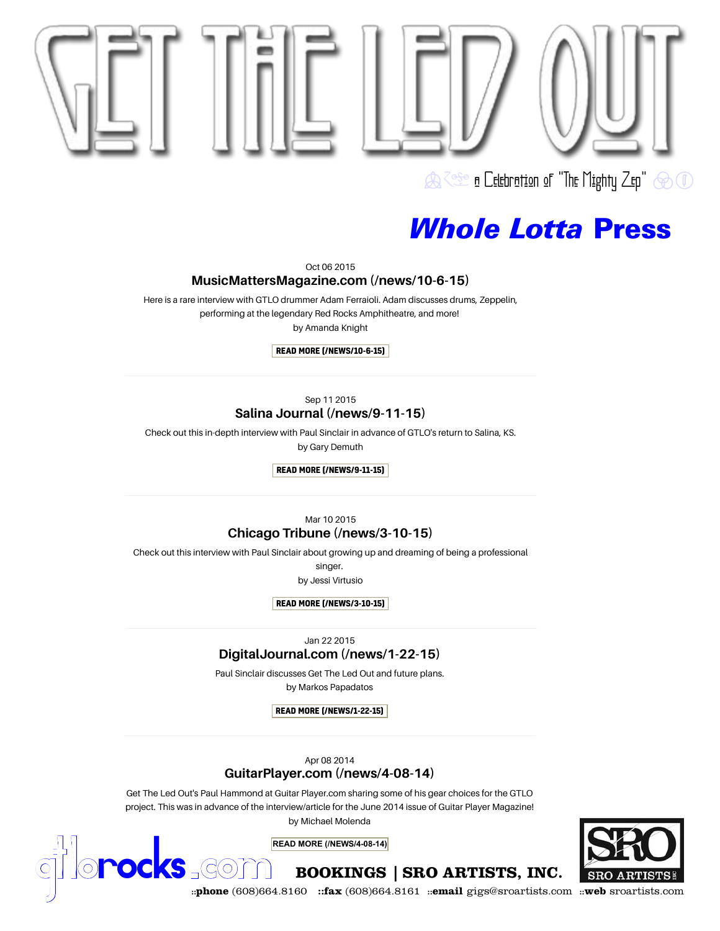

Oct 06 2015

## [MusicMattersMagazine.com \(/news/10-6-15\)](https://www.gtlorocks.com/news/10-6-15)

 Here is a rare interview with GTLO drummer Adam Ferraioli. Adam discusses drums, Zeppelin,performing at the legendary Red Rocks Amphitheatre, and more!

by Amanda Knight

### READ MORE (/NEWS/10-6-15)

### Sep 11 2015Salina Journal (/news/9-11-15)

 [Check out this in-depth interview with Paul Sinclair in advance of GTLO's return to Salina, KS.](https://www.gtlorocks.com/news/9-11-15) by Gary Demuth

READ MORE (/NEWS/9-11-15)

Mar 10 2015

## Chicago Tribune (/news/3-10-15)

[Check out this interview with Paul Sinclair about growing up and dreaming of being a professional](https://www.gtlorocks.com/news/3-10-15)

singer.

by Jessi Virtusio

READ MORE (/NEWS/3-10-15)

Jan 22 2015

## [DigitalJournal.com \(/news/1-22-15\)](https://www.gtlorocks.com/news/1-22-15)

 Paul Sinclair discusses Get The Led Out and future plans. by Markos Papadatos

READ MORE (/NEWS/1-22-15)

Apr 08 2014

## GuitarPlayer.com (/news/4-08-14)

 Get The Led Out's Paul Hammond at Guitar Player.com sharing some of his gear choices for the GTLO[project. This was in advance of the interview/article for the June 2014 issue of Guitar Player Magazine!](https://www.gtlorocks.com/news/4-08-14) 

by Michael Molenda

**READ MORE (/NEWS/4-08-14)**



**COCKS** COM **BOOKINGS | SRO ARTISTS, INC.** SRO ARTISTS<sup>2</sup><br>
::phone (608)664.8160 ::fax (608)664.8161 ::email gigs@sroartists.com ::web sroartists.com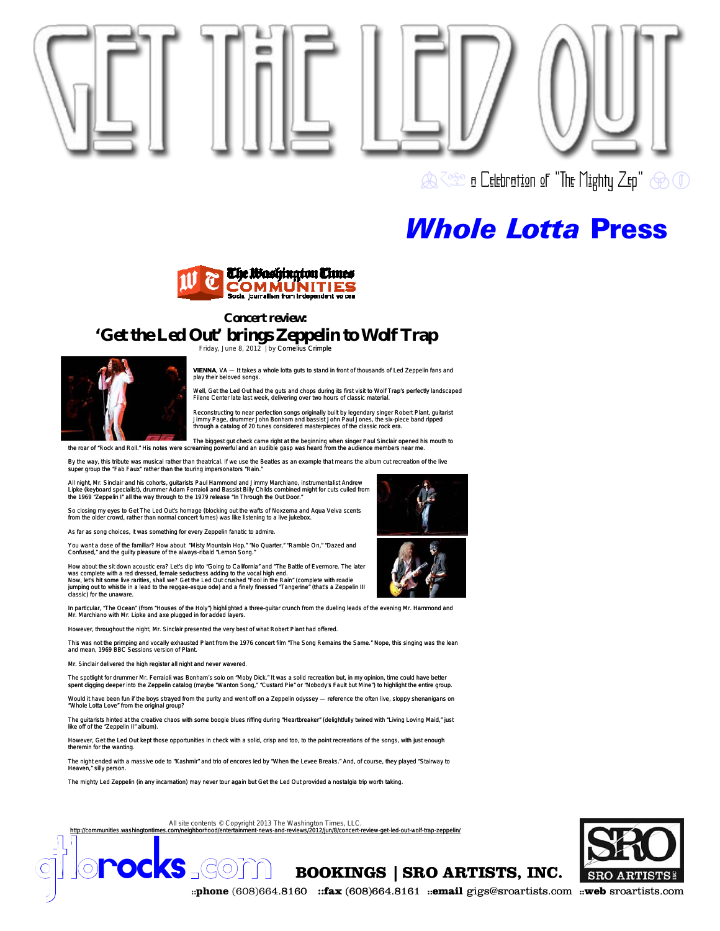

 $\bigotimes$   $\Diamond$   $\Diamond$  and  $\Box$  and  $\Box$  and  $\Box$  and  $\Box$  and  $\Box$  and  $\Box$  and  $\Box$  and  $\Box$  and  $\Box$  and  $\Box$  and  $\Box$  and  $\Box$  and  $\Box$  and  $\Box$  and  $\Box$  and  $\Box$  and  $\Box$  and  $\Box$  and  $\Box$  and  $\Box$  and  $\Box$  and  $\Box$  and  $\$ 

## *Whole Lotta* Press



### **Concert review:**

## **'Get the Led Out' brings Zeppelin to Wolf Trap**



Friday, June 8, 2012 | by Cornelius Crimple

**VIENNA**, VA — It takes a whole lotta guts to stand in front of thousands of Led Zeppelin fans and play their beloved songs.

Well, Get the Led Out had the guts and chops during its first visit to Wolf Trap's perfectly landscaped Filene Center late last week, delivering over two hours of classic mater

Reconstructing to near perfection songs originally built by legendary singer Robert Plant, guitarist<br>Jimmy Page, drummer John Bonham and bassist John Paul Jones, the six-piece band ripped<br>through a catalog of 20 tunes cons

The biggest gut check came right at the beginning when singer Paul Sinclair opened his mouth to<br>the roar of "Rock and Roll." His notes were screaming powerful and an audible gasp was heard from the audience members near me

By the way, this tribute was musical rather than theatrical. If we use the Beatles as an example that means the album cut recreation of the live<br>super group the "Fab Faux" rather than the touring impersonators "Rain."

All night, Mr. Sinclair and his cohorts, guitarists Paul Hammond and Jimmy Marchiano, instrumentalist Andrew<br>Lipke (keyboard specialist), drummer Adam Ferraioli and Bassist Billy Childs combined might for cuts culled from<br>

So closing my eyes to Get The Led Out's homage (blocking out the wafts of Noxzema and Aqua Velva scents from the older crowd, rather than normal concert fumes) was like listening to a live jukebox.

As far as song choices, it was something for every Zeppelin fanatic to admire.

You want a dose of the familiar? How about "Misty Mountain Hop," "No Quarter," "Ramble On," "Dazed and Confused," and the guilty pleasure of the always-ribald "Lemon Song."

How about the sit down acoustic era? Let's dip into "Going to California" and "The Battle of Evermore. The later<br>was complete with a red dressed, female seductress adding to the vocal high end.<br>Now, let's hit some live rar jumping out to whistle in a lead to the reggae-esque ode) and a finely finessed "Tangerine" (that's a Zeppelin III classic) for the unaware.

In particular, "The Ocean" (from "Houses of the Holy") highlighted a three-guitar crunch from the dueling leads of the evening Mr. Hammond and<br>Mr. Marchiano with Mr. Lipke and axe plugged in for added layers.

However, throughout the night, Mr. Sinclair presented the very best of what Robert Plant had offered.

This was not the primping and vocally exhausted Plant from the 1976 concert film "The Song Remains the Same." Nope, this singing was the lean and mean, 1969 BBC Sessions version of Plant.

Mr. Sinclair delivered the high register all night and never wavered.

The spotlight for drummer Mr. Ferraioli was Bonham's solo on "Moby Dick." It was a solid recreation but, in my opinion, time could have better<br>spent digging deeper into the Zeppelin catalog (maybe "Wanton Song," "Custard P

Would it have been fun if the boys strayed from the purity and went off on a Zeppelin odyssey — reference the often live, sloppy shenanigans on "Whole Lotta Love" from the original group?

uitarists hinted at the creative chaos with some boogie blues riffing during "Heartbreaker" (delightfully twined with "Living Loving Maid," just like off of the "Zeppelin II" album).

However, Get the Led Out kept those opportunities in check with a solid, crisp and too, to the point recreations of the songs, with just enough theremin for the wanting

The night ended with a massive ode to "Kashmir" and trio of encores led by "When the Levee Breaks." And, of course, they played "Stairway to Heaven," silly person.

The mighty Led Zeppelin (in any incarnation) may never tour again but Get the Led Out provided a nostalgia trip worth taking.

All site contents © Copyright 2013 The Washington Times, LLC. http://communities.washingtontimes.com/neighborhood/entertainment-news-and-reviews/2012/jun/8/concert-review-get-led-out-wolf-trap-zeppelin/



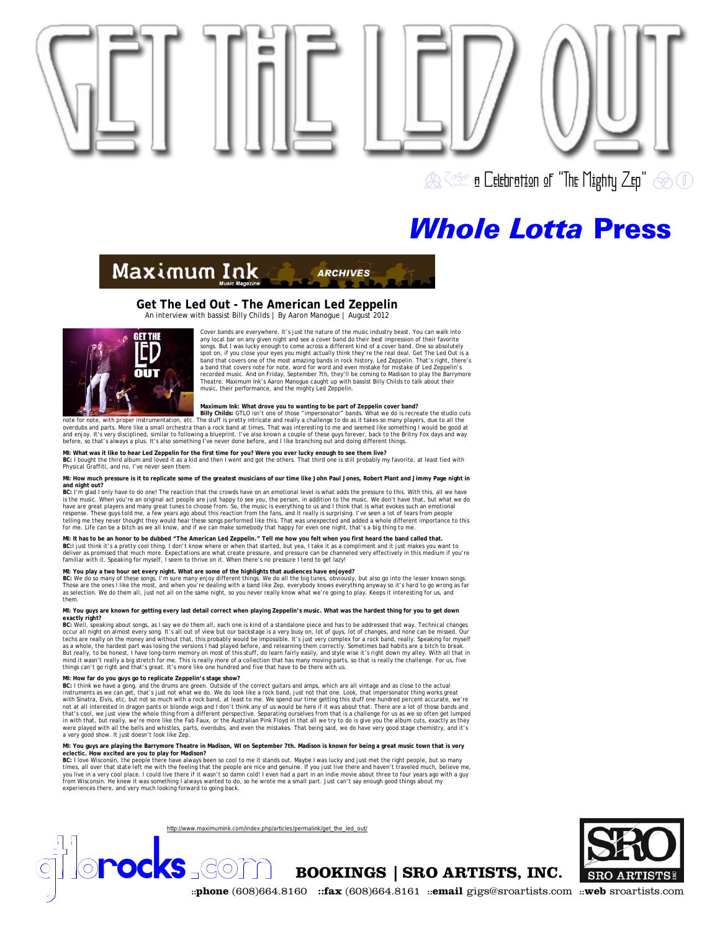

Maximum Ink

## **Get The Led Out - The American Led Zeppelin**

An interview with bassist Billy Childs | By Aaron Manogue | August 2012



Cover bands are everywhere. It's just the nature of the music industry beast. You can walk into any local bar on any given night and see a cover band do their best impression of their favorite songs. But I was lucky enough to come across a different kind of a cover band. One so absolutely<br>spot on, if you close your eyes you might actually think they're the real deal. Get The Led Out is a<br>band that covers one of a band that covers note for note, word for word and even mistake for mistake of Led Zeppelin's recorded music. And on Friday, September 7th, they'll be coming to Madison to play the Barrymore Theatre. Maximum Ink's Aaron Manogue caught up with bassist Billy Childs to talk about their music, their performance, and the mighty Led Zeppelin.

**ARCHIVES** 

Maximum Ink: What drove you to wanting to be part of Zeppelin cover band?<br>Intervention of the studio cuts and the studio cuts of the studio cuts of the set of these "imersonator" bands. What we do is recreate the studio cu

MI: What was it like to hear Led Zeppelin for the first time for you? Were you ever lucky enough to see them live?<br>BC: I bought the third album and loved it as a kid and then I went and got the others. That third one is st Physical Graffiti, and no, I've never seen them.

**MI: How much pressure is it to replicate some of the greatest musicians of our time like John Paul Jones, Robert Plant and Jimmy Page night in and night out?** 

BC: I'm glad I only have to do one! The reaction that the crowds have on an emotional level is what adds the pressure to this. With this, all we have<br>is the music. When you're an original act people are just happy to see y response. These guys told me, a few years ago about this reaction from the fans, and it really is surprising. I've seen a lot of tears from people<br>telling me they never thought they would hear these songs performed like th

MI: It has to be an honor to be dubbed "The American Led Zeppelin." Tell me how you felt when you first heard the band called that.<br>BC:I just think it's a pretty cool thing. I don't know where or when that started, but yea familiar with it. Speaking for myself, I seem to thrive on it. When there's no pressure I tend to get lazy!

### **MI: You play a two hour set every night. What are some of the highlights that audiences have enjoyed?**

BC: We do so many of these songs, I'm sure many enjoy different things. We do all the big tunes, obviously, but also go into the lesser known songs.<br>Those are the ones I like the most, and when you're dealing with a band l them.

MI: You guys are known for getting every last detail correct when playing Zeppelin's music. What was the hardest thing for you to get down<br>exactly right?<br>BC: Well, speaking about songs, as I say we do them all, each one is

occur all night on almost every song. It's all out of view but our backstage is a very busy on, lot of guys, lot of changes, and none can be missed. Our tects are really on the money and without that, this probably would b

MI: How far do you guys go to replicate Zeppelin's stage show?<br>BC: I think we have a gong, and the drums are green. Outside of the correct guitars and amps, which are all vintage and as close to the actual<br>Instruments as w with Sinatra, Elvis, etc, but not so much with a rock band, at least to me. We spend our time getting this stuff one hundred percent accurate, we're<br>thot at all interested in dragon pants or blonde wigs and I don't think a were played with all the bells and whistles, parts, overdubs, and even the mistakes. That being said, we do have very good stage chemistry, and it's a very good show. It just doesn't look like Zep.

MI: You guys are playing the Barrymore Theate in Madison, WI on September 7th. Madison is known for being a great music town that is very<br>eclectic. How excited are you to play for Madison?<br>BC: I love Wisconsin, the people

http://www.maximumink.com/index.php/articles/permalink/get\_the\_led\_out/

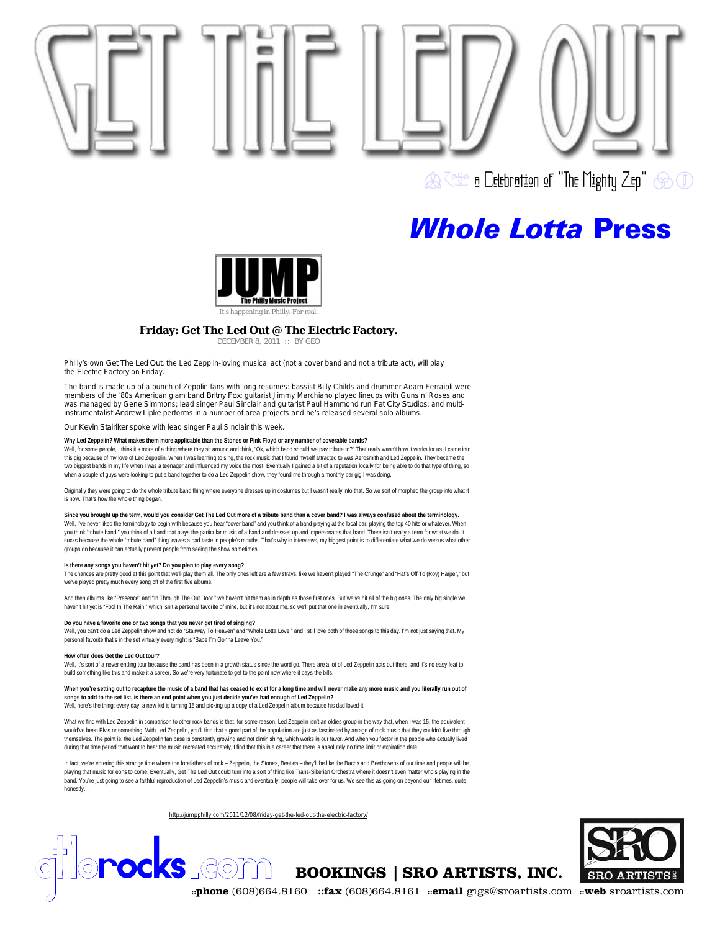



### **Friday: Get The Led Out @ The Electric Factory.**

DECEMBER 8, 2011 :: BY GEO

Philly's own *Get The Led Out*, the Led Zepplin-loving musical act (not a cover band and not a tribute act), will play the *Electric Factory* on Friday.

The band is made up of a bunch of Zepplin fans with long resumes: bassist Billy Childs and drummer Adam Ferraioli were<br>members of the '80s American glam band *Britny Fox*; guitarist Jimmy Marchiano played lineups with Guns was managed by Gene Simmons; lead singer Paul Sinclair and guitarist Paul Hammond run *Fat City Studios*; and multiinstrumentalist *Andrew Lipke* performs in a number of area projects and he's released several solo albums.

Our *Kevin Stairiker* spoke with lead singer Paul Sinclair this week.

**Why Led Zeppelin? What makes them more applicable than the Stones or Pink Floyd or any number of coverable bands?**

Well, for some people, I think it's more of a thing where they sit around and think, "Ok, which band should we pay tribute to?" That really wasn't how it works for us. I came into this gig because of my love of Led Zeppelin. When I was learning to sing, the rock music that I found myself attracted to was Aerosmith and Led Zeppelin. They became the two biggest bands in my life when I was a teenager and influenced my voice the most. Eventually I gained a bit of a reputation locally for being able to do that type of thing, so when a couple of guys were looking to put a band together to do a Led Zeppelin show, they found me through a monthly bar gig I was doing.

Originally they were going to do the whole tribute band thing where everyone dresses up in costumes but I wasn't really into that. So we sort of morphed the group into what it is now. That's how the whole thing began

**Since you brought up the term, would you consider Get The Led Out more of a tribute band than a cover band? I was always confused about the terminology.** Well, I've never liked the terminology to begin with because you hear "cover band" and you think of a band playing at the local bar, playing the top 40 hits or whatever. When you think "tribute band," you think of a band that plays the particular music of a band and dresses up and impersonates that band. There isn't really a term for what we do. It sucks because the whole "tribute band" thing leaves a bad taste in people's mouths. That's why in interviews, my biggest point is to differentiate what we do versus what other

### groups do because it can actually prevent people from seeing the show sometimes. **Is there any songs you haven't hit yet? Do you plan to play every song?**

The chances are pretty good at this point that we'll play them all. The only ones left are a few strays, like we haven't played "The Crunge" and "Hat's Off To (Roy) Harper," but we've played pretty much every song off of the first five albums.

And then albums like "Presence" and "In Through The Out Door," we haven't hit them as in depth as those first ones. But we've hit all of the big ones. The only big single we haven't hit yet is "Fool In The Rain," which isn't a personal favorite of mine, but it's not about me, so we'll put that one in eventually, I'm sure.

### **Do you have a favorite one or two songs that you never get tired of singing?**

Well, you can't do a Led Zeppelin show and not do "Stairway To Heaven" and "Whole Lotta Love," and I still love both of those songs to this day. I'm not just saying that. My personal favorite that's in the set virtually every night is "Babe I'm Gonna Leave You."

### **How often does Get the Led Out tour?**

Well, it's sort of a never ending tour because the band has been in a growth status since the word go. There are a lot of Led Zeppelin acts out there, and it's no easy feat to build something like this and make it a career. So we're very fortunate to get to the point now where it pays the bills.

**When you're setting out to recapture the music of a band that has ceased to exist for a long time and will never make any more music and you literally run out of songs to add to the set list, is there an end point when you just decide you've had enough of Led Zeppelin?** Well, here's the thing: every day, a new kid is turning 15 and picking up a copy of a Led Zeppelin album because his dad loved it.

What we find with Led Zeppelin in comparison to other rock bands is that, for some reason, Led Zeppelin isn't an oldies group in the way that, when I was 15, the equivalent would've been Elvis or something. With Led Zeppelin, you'll find that a good part of the population are just as fascinated by an age of rock music that they couldn't live through themselves. The point is, the Led Zeppelin fan base is constantly growing and not diminishing, which works in our favor. And when you factor in the people who actually lived during that time period that want to hear the music recreated accurately, I find that this is a career that there is absolutely no time limit or expiration date.

In fact, we're entering this strange time where the forefathers of rock – Zeppelin, the Stones, Beatles – they'll be like the Bachs and Beethovens of our time and people will be playing that music for eons to come. Eventually, Get The Led Out could turn into a sort of thing like Trans-Siberian Orchestra where it doesn't even matter who's playing in the band. You're just going to see a faithful reproduction of Led Zeppelin's music and eventually, people will take over for us. We see this as going on beyond our lifetimes, quite honestly.

http://jumpphilly.com/2011/12/08/friday-get-the-led-out-the-electric-factory/

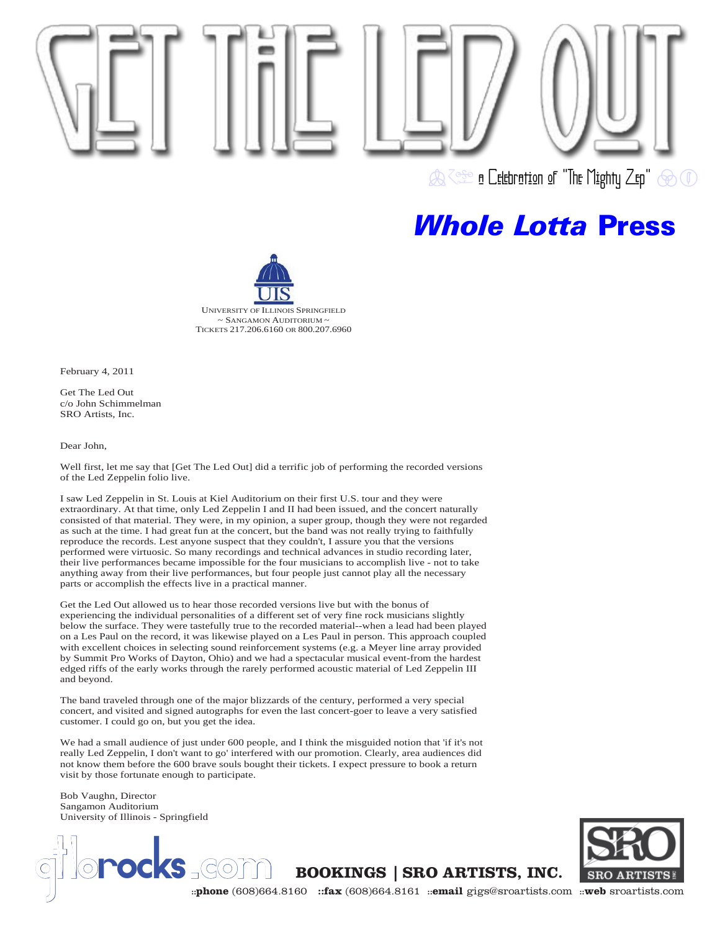

n Celebration of "The Mighty Zep" @ 1

## *Whole Lotta* Press



February 4, 2011

Get The Led Out c/o John Schimmelman SRO Artists, Inc.

Dear John,

Well first, let me say that [Get The Led Out] did a terrific job of performing the recorded versions of the Led Zeppelin folio live.

I saw Led Zeppelin in St. Louis at Kiel Auditorium on their first U.S. tour and they were extraordinary. At that time, only Led Zeppelin I and II had been issued, and the concert naturally consisted of that material. They were, in my opinion, a super group, though they were not regarded as such at the time. I had great fun at the concert, but the band was not really trying to faithfully reproduce the records. Lest anyone suspect that they couldn't, I assure you that the versions performed were virtuosic. So many recordings and technical advances in studio recording later, their live performances became impossible for the four musicians to accomplish live - not to take anything away from their live performances, but four people just cannot play all the necessary parts or accomplish the effects live in a practical manner.

Get the Led Out allowed us to hear those recorded versions live but with the bonus of experiencing the individual personalities of a different set of very fine rock musicians slightly below the surface. They were tastefully true to the recorded material--when a lead had been played on a Les Paul on the record, it was likewise played on a Les Paul in person. This approach coupled with excellent choices in selecting sound reinforcement systems (e.g. a Meyer line array provided by Summit Pro Works of Dayton, Ohio) and we had a spectacular musical event-from the hardest edged riffs of the early works through the rarely performed acoustic material of Led Zeppelin III and beyond.

The band traveled through one of the major blizzards of the century, performed a very special concert, and visited and signed autographs for even the last concert-goer to leave a very satisfied customer. I could go on, but you get the idea.

We had a small audience of just under 600 people, and I think the misguided notion that 'if it's not really Led Zeppelin, I don't want to go' interfered with our promotion. Clearly, area audiences did not know them before the 600 brave souls bought their tickets. I expect pressure to book a return visit by those fortunate enough to participate.

Bob Vaughn, Director Sangamon Auditorium University of Illinois - Springfield

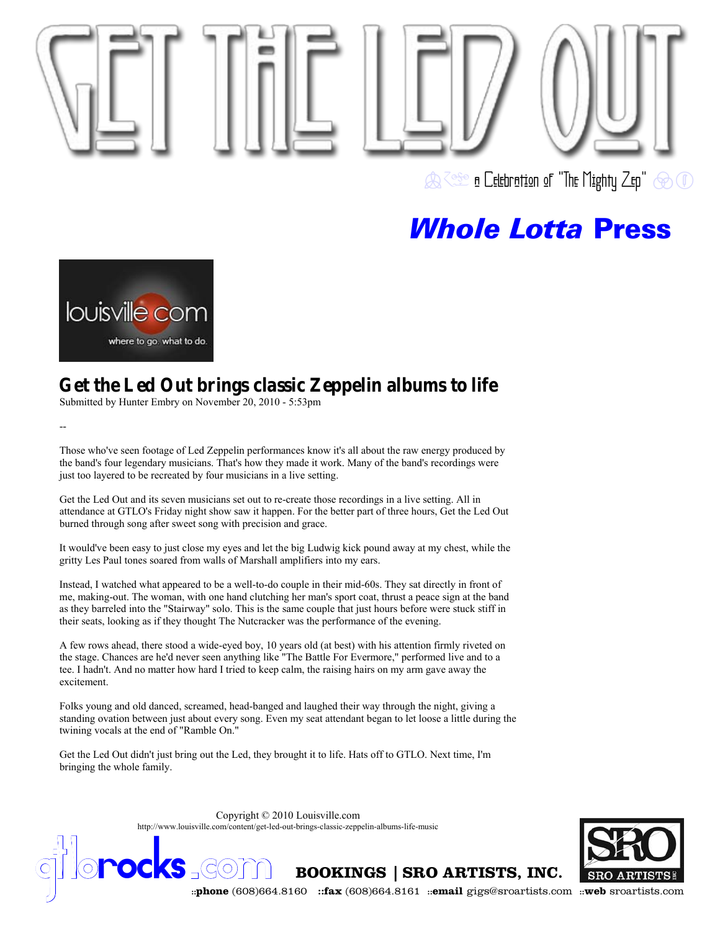



## **Get the Led Out brings classic Zeppelin albums to life**

Submitted by Hunter Embry on November 20, 2010 - 5:53pm

--

Those who've seen footage of Led Zeppelin performances know it's all about the raw energy produced by the band's four legendary musicians. That's how they made it work. Many of the band's recordings were just too layered to be recreated by four musicians in a live setting.

Get the Led Out and its seven musicians set out to re-create those recordings in a live setting. All in attendance at GTLO's Friday night show saw it happen. For the better part of three hours, Get the Led Out burned through song after sweet song with precision and grace.

It would've been easy to just close my eyes and let the big Ludwig kick pound away at my chest, while the gritty Les Paul tones soared from walls of Marshall amplifiers into my ears.

Instead, I watched what appeared to be a well-to-do couple in their mid-60s. They sat directly in front of me, making-out. The woman, with one hand clutching her man's sport coat, thrust a peace sign at the band as they barreled into the "Stairway" solo. This is the same couple that just hours before were stuck stiff in their seats, looking as if they thought The Nutcracker was the performance of the evening.

A few rows ahead, there stood a wide-eyed boy, 10 years old (at best) with his attention firmly riveted on the stage. Chances are he'd never seen anything like "The Battle For Evermore," performed live and to a tee. I hadn't. And no matter how hard I tried to keep calm, the raising hairs on my arm gave away the excitement.

Folks young and old danced, screamed, head-banged and laughed their way through the night, giving a standing ovation between just about every song. Even my seat attendant began to let loose a little during the twining vocals at the end of "Ramble On."

Get the Led Out didn't just bring out the Led, they brought it to life. Hats off to GTLO. Next time, I'm bringing the whole family.

> Copyright © 2010 Louisville.com http://www.louisville.com/content/get-led-out-brings-classic-zeppelin-albums-life-music



**is a community of the COLOREG** COLOREGIST **BOOKINGS** | SRO ARTISTS, INC. SRO ARTISTS!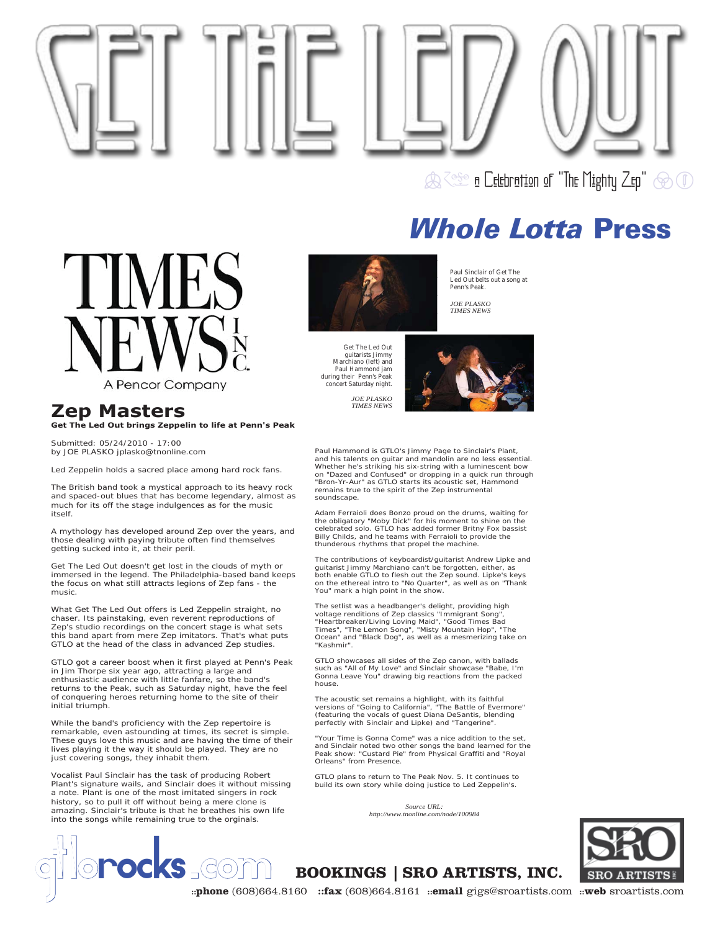



## **Zep Masters Get The Led Out brings Zeppelin to life at Penn's Peak**

*Submitted: 05/24/2010 - 17:00 by JOE PLASKO jplasko@tnonline.com*

Led Zeppelin holds a sacred place among hard rock fans.

The British band took a mystical approach to its heavy rock and spaced-out blues that has become legendary, almost as much for its off the stage indulgences as for the music itself.

A mythology has developed around Zep over the years, and those dealing with paying tribute often find themselves getting sucked into it, at their peril.

Get The Led Out doesn't get lost in the clouds of myth or immersed in the legend. The Philadelphia-based band keeps the focus on what still attracts legions of Zep fans - the music.

What Get The Led Out offers is Led Zeppelin straight, no chaser. Its painstaking, even reverent reproductions of Zep's studio recordings on the concert stage is what sets this band apart from mere Zep imitators. That's what puts GTLO at the head of the class in advanced Zep studies.

GTLO got a career boost when it first played at Penn's Peak in Jim Thorpe six year ago, attracting a large and enthusiastic audience with little fanfare, so the band's returns to the Peak, such as Saturday night, have the feel of conquering heroes returning home to the site of their initial triumph.

While the band's proficiency with the Zep repertoire is remarkable, even astounding at times, its secret is simple. These guys love this music and are having the time of their lives playing it the way it should be played. They are no just covering songs, they inhabit them.

Vocalist Paul Sinclair has the task of producing Robert Plant's signature wails, and Sinclair does it without missing a note. Plant is one of the most imitated singers in rock history, so to pull it off without being a mere clone is amazing. Sinclair's tribute is that he breathes his own life into the songs while remaining true to the orginals.



Get The Led Out guitarists Jimmy Marchiano (left) and Paul Hammond jam during their Penn's Peak concert Saturday night.

> *JOE PLASKO TIMES NEWS*

Paul Sinclair of Get The Led Out belts out a song at Penn's Peak.

*JOE PLASKO TIMES NEWS*



Paul Hammond is GTLO's Jimmy Page to Sinclair's Plant, and his talents on guitar and mandolin are no less essential. Whether he's striking his six-string with a luminescent bow on "Dazed and Confused" or dropping in a quick run through "Bron-Yr-Aur" as GTLO starts its acoustic set, Hammond remains true to the spirit of the Zep instrumental soundscape.

Adam Ferraioli does Bonzo proud on the drums, waiting for the obligatory "Moby Dick" for his moment to shine on the celebrated solo. GTLO has added former Britny Fox bassist Billy Childs, and he teams with Ferraioli to provide the thunderous rhythms that propel the machine.

The contributions of keyboardist/guitarist Andrew Lipke and<br>guitarist Jimmy Marchiano can't be forgotten, either, as<br>both enable GTLO to flesh out the Zep sound. Lipke's keys<br>on the ethereal intro to "No Quarter", as well You" mark a high point in the show.

The setlist was a headbanger's delight, providing high<br>voltage renditions of Zep classics "Immigrant Song",<br>"Heartbreaker/Living Loving Maid", "Good Times Bad<br>Times", "The Lemon Song", "Misty Mountain Hop", "The<br>Ocean" and "Kashmir".

GTLO showcases all sides of the Zep canon, with ballads such as "All of My Love" and Sinclair showcase "Babe, I'm Gonna Leave You" drawing big reactions from the packed house.

The acoustic set remains a highlight, with its faithful versions of "Going to California", "The Battle of Evermore" (featuring the vocals of guest Diana DeSantis, blending perfectly with Sinclair and Lipke) and "Tangerine".

"Your Time is Gonna Come" was a nice addition to the set, and Sinclair noted two other songs the band learned for the Peak show: "Custard Pie" from Physical Graffiti and "Royal Orleans" from Presence.

GTLO plans to return to The Peak Nov. 5. It continues to build its own story while doing justice to Led Zeppelin's.

> *Source URL: http://www.tnonline.com/node/100984*



**COM BOOKINGS | SRO ARTISTS, INC.** 

**::phone** (608)664.8160 **::fax** (608)664.8161 **::email** gigs@sroartists.com **::web** sroartists.com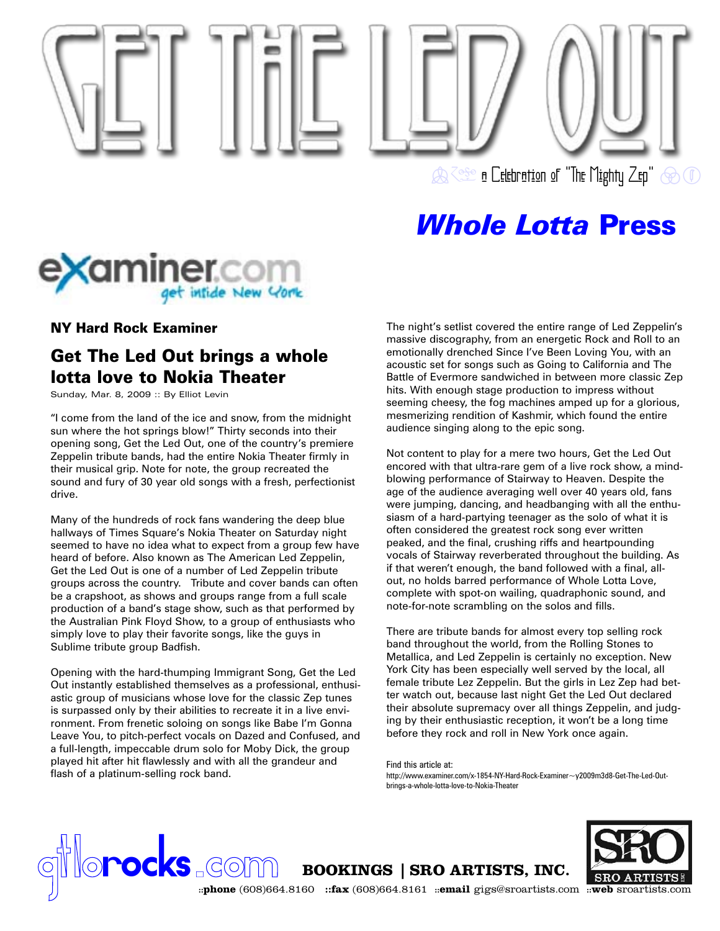



## NY Hard Rock Examiner

## Get The Led Out brings a whole lotta love to Nokia Theater

Sunday, Mar. 8, 2009 :: By Elliot Levin

"I come from the land of the ice and snow, from the midnight sun where the hot springs blow!" Thirty seconds into their opening song, Get the Led Out, one of the country's premiere Zeppelin tribute bands, had the entire Nokia Theater firmly in their musical grip. Note for note, the group recreated the sound and fury of 30 year old songs with a fresh, perfectionist drive.

Many of the hundreds of rock fans wandering the deep blue hallways of Times Square's Nokia Theater on Saturday night seemed to have no idea what to expect from a group few have heard of before. Also known as The American Led Zeppelin, Get the Led Out is one of a number of Led Zeppelin tribute groups across the country. Tribute and cover bands can often be a crapshoot, as shows and groups range from a full scale production of a band's stage show, such as that performed by the Australian Pink Floyd Show, to a group of enthusiasts who simply love to play their favorite songs, like the guys in Sublime tribute group Badfish.

Opening with the hard-thumping Immigrant Song, Get the Led Out instantly established themselves as a professional, enthusiastic group of musicians whose love for the classic Zep tunes is surpassed only by their abilities to recreate it in a live environment. From frenetic soloing on songs like Babe I'm Gonna Leave You, to pitch-perfect vocals on Dazed and Confused, and a full-length, impeccable drum solo for Moby Dick, the group played hit after hit flawlessly and with all the grandeur and flash of a platinum-selling rock band.

The night's setlist covered the entire range of Led Zeppelin's massive discography, from an energetic Rock and Roll to an emotionally drenched Since I've Been Loving You, with an acoustic set for songs such as Going to California and The Battle of Evermore sandwiched in between more classic Zep hits. With enough stage production to impress without seeming cheesy, the fog machines amped up for a glorious, mesmerizing rendition of Kashmir, which found the entire audience singing along to the epic song.

Not content to play for a mere two hours, Get the Led Out encored with that ultra-rare gem of a live rock show, a mindblowing performance of Stairway to Heaven. Despite the age of the audience averaging well over 40 years old, fans were jumping, dancing, and headbanging with all the enthusiasm of a hard-partying teenager as the solo of what it is often considered the greatest rock song ever written peaked, and the final, crushing riffs and heartpounding vocals of Stairway reverberated throughout the building. As if that weren't enough, the band followed with a final, allout, no holds barred performance of Whole Lotta Love, complete with spot-on wailing, quadraphonic sound, and note-for-note scrambling on the solos and fills.

There are tribute bands for almost every top selling rock band throughout the world, from the Rolling Stones to Metallica, and Led Zeppelin is certainly no exception. New York City has been especially well served by the local, all female tribute Lez Zeppelin. But the girls in Lez Zep had better watch out, because last night Get the Led Out declared their absolute supremacy over all things Zeppelin, and judging by their enthusiastic reception, it won't be a long time before they rock and roll in New York once again.

Find this article at:

http://www.examiner.com/x-1854-NY-Hard-Rock-Examiner~y2009m3d8-Get-The-Led-Outbrings-a-whole-lotta-love-to-Nokia-Theater

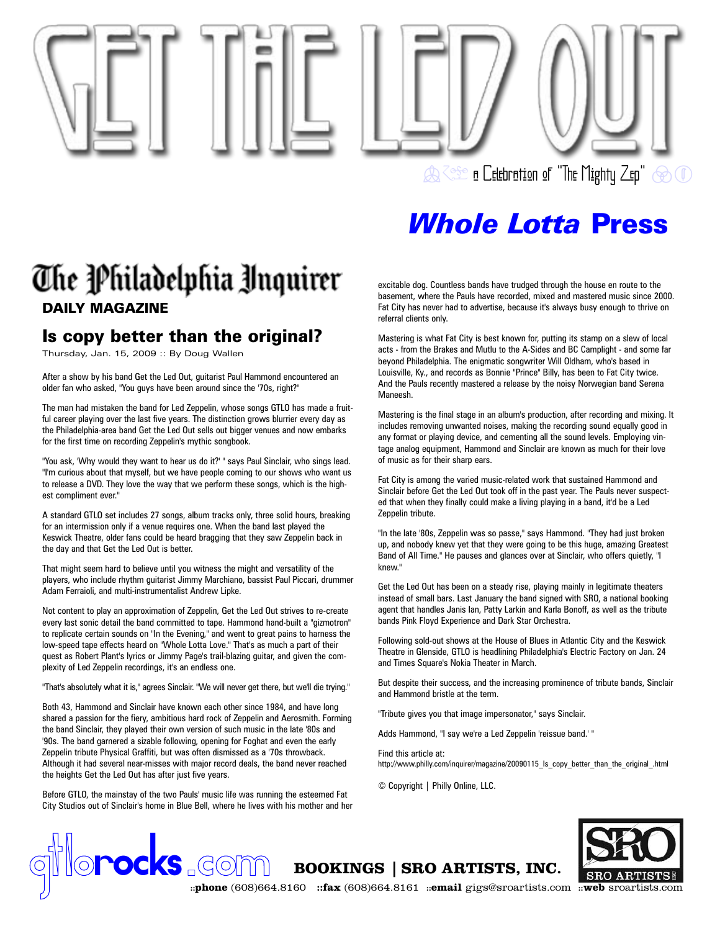

## The Philadelphia Unquirer DAILY MAGAZINE

## Is copy better than the original?

Thursday, Jan. 15, 2009 :: By Doug Wallen

After a show by his band Get the Led Out, guitarist Paul Hammond encountered an older fan who asked, "You guys have been around since the '70s, right?"

The man had mistaken the band for Led Zeppelin, whose songs GTLO has made a fruitful career playing over the last five years. The distinction grows blurrier every day as the Philadelphia-area band Get the Led Out sells out bigger venues and now embarks for the first time on recording Zeppelin's mythic songbook.

"You ask, 'Why would they want to hear us do it?' " says Paul Sinclair, who sings lead. "I'm curious about that myself, but we have people coming to our shows who want us to release a DVD. They love the way that we perform these songs, which is the highest compliment ever."

A standard GTLO set includes 27 songs, album tracks only, three solid hours, breaking for an intermission only if a venue requires one. When the band last played the Keswick Theatre, older fans could be heard bragging that they saw Zeppelin back in the day and that Get the Led Out is better.

That might seem hard to believe until you witness the might and versatility of the players, who include rhythm guitarist Jimmy Marchiano, bassist Paul Piccari, drummer Adam Ferraioli, and multi-instrumentalist Andrew Lipke.

Not content to play an approximation of Zeppelin, Get the Led Out strives to re-create every last sonic detail the band committed to tape. Hammond hand-built a "gizmotron" to replicate certain sounds on "In the Evening," and went to great pains to harness the low-speed tape effects heard on "Whole Lotta Love." That's as much a part of their quest as Robert Plant's lyrics or Jimmy Page's trail-blazing guitar, and given the complexity of Led Zeppelin recordings, it's an endless one.

"That's absolutely what it is," agrees Sinclair. "We will never get there, but we'll die trying."

Both 43, Hammond and Sinclair have known each other since 1984, and have long shared a passion for the fiery, ambitious hard rock of Zeppelin and Aerosmith. Forming the band Sinclair, they played their own version of such music in the late '80s and '90s. The band garnered a sizable following, opening for Foghat and even the early Zeppelin tribute Physical Graffiti, but was often dismissed as a '70s throwback. Although it had several near-misses with major record deals, the band never reached the heights Get the Led Out has after just five years.

Before GTLO, the mainstay of the two Pauls' music life was running the esteemed Fat City Studios out of Sinclair's home in Blue Bell, where he lives with his mother and her excitable dog. Countless bands have trudged through the house en route to the basement, where the Pauls have recorded, mixed and mastered music since 2000. Fat City has never had to advertise, because it's always busy enough to thrive on referral clients only.

Mastering is what Fat City is best known for, putting its stamp on a slew of local acts - from the Brakes and Mutlu to the A-Sides and BC Camplight - and some far beyond Philadelphia. The enigmatic songwriter Will Oldham, who's based in Louisville, Ky., and records as Bonnie "Prince" Billy, has been to Fat City twice. And the Pauls recently mastered a release by the noisy Norwegian band Serena Maneesh.

Mastering is the final stage in an album's production, after recording and mixing. It includes removing unwanted noises, making the recording sound equally good in any format or playing device, and cementing all the sound levels. Employing vintage analog equipment, Hammond and Sinclair are known as much for their love of music as for their sharp ears.

Fat City is among the varied music-related work that sustained Hammond and Sinclair before Get the Led Out took off in the past year. The Pauls never suspected that when they finally could make a living playing in a band, it'd be a Led Zeppelin tribute.

"In the late '80s, Zeppelin was so passe," says Hammond. "They had just broken up, and nobody knew yet that they were going to be this huge, amazing Greatest Band of All Time." He pauses and glances over at Sinclair, who offers quietly, "I knew."

Get the Led Out has been on a steady rise, playing mainly in legitimate theaters instead of small bars. Last January the band signed with SRO, a national booking agent that handles Janis Ian, Patty Larkin and Karla Bonoff, as well as the tribute bands Pink Floyd Experience and Dark Star Orchestra.

Following sold-out shows at the House of Blues in Atlantic City and the Keswick Theatre in Glenside, GTLO is headlining Philadelphia's Electric Factory on Jan. 24 and Times Square's Nokia Theater in March.

But despite their success, and the increasing prominence of tribute bands, Sinclair and Hammond bristle at the term.

"Tribute gives you that image impersonator," says Sinclair.

Adds Hammond, "I say we're a Led Zeppelin 'reissue band.' "

Find this article at:

http://www.philly.com/inquirer/magazine/20090115 Is copy better than the original .html

© Copyright | Philly Online, LLC.



**COM BOOKINGS | SRO ARTISTS, INC.** 

**::phone** (608)664.8160 **::fax** (608)664.8161 **::email** gigs@sroartists.com **::web** sroartists.com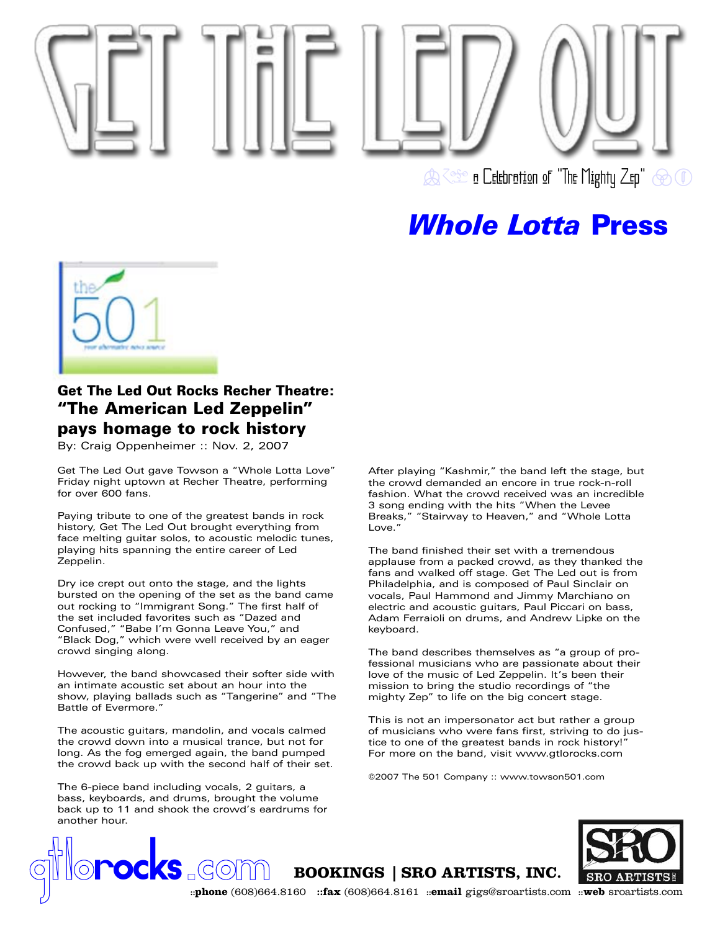



## Get The Led Out Rocks Recher Theatre: "The American Led Zeppelin" pays homage to rock history

By: Craig Oppenheimer :: Nov. 2, 2007

Get The Led Out gave Towson a "Whole Lotta Love" Friday night uptown at Recher Theatre, performing for over 600 fans.

Paying tribute to one of the greatest bands in rock history, Get The Led Out brought everything from face melting guitar solos, to acoustic melodic tunes, playing hits spanning the entire career of Led Zeppelin.

Dry ice crept out onto the stage, and the lights bursted on the opening of the set as the band came out rocking to "Immigrant Song." The first half of the set included favorites such as "Dazed and Confused," "Babe I'm Gonna Leave You," and "Black Dog," which were well received by an eager crowd singing along.

However, the band showcased their softer side with an intimate acoustic set about an hour into the show, playing ballads such as "Tangerine" and "The Battle of Evermore."

The acoustic guitars, mandolin, and vocals calmed the crowd down into a musical trance, but not for long. As the fog emerged again, the band pumped the crowd back up with the second half of their set.

The 6-piece band including vocals, 2 guitars, a bass, keyboards, and drums, brought the volume back up to 11 and shook the crowd's eardrums for another hour.

After playing "Kashmir," the band left the stage, but the crowd demanded an encore in true rock-n-roll fashion. What the crowd received was an incredible 3 song ending with the hits "When the Levee Breaks," "Stairway to Heaven," and "Whole Lotta Love."

The band finished their set with a tremendous applause from a packed crowd, as they thanked the fans and walked off stage. Get The Led out is from Philadelphia, and is composed of Paul Sinclair on vocals, Paul Hammond and Jimmy Marchiano on electric and acoustic guitars, Paul Piccari on bass, Adam Ferraioli on drums, and Andrew Lipke on the keyboard.

The band describes themselves as "a group of professional musicians who are passionate about their love of the music of Led Zeppelin. It's been their mission to bring the studio recordings of "the mighty Zep" to life on the big concert stage.

This is not an impersonator act but rather a group of musicians who were fans first, striving to do justice to one of the greatest bands in rock history!" For more on the band, visit www.gtlorocks.com

©2007 The 501 Company :: www.towson501.com



**example 10 and COVID 300 KINGS | SRO ARTISTS, INC.**<br> **SRO ARTISTS**<br> **index** (608)664.8160 **::fax** (608)664.8161 **::email** gigs@sroartists.com **::web** sroartists.com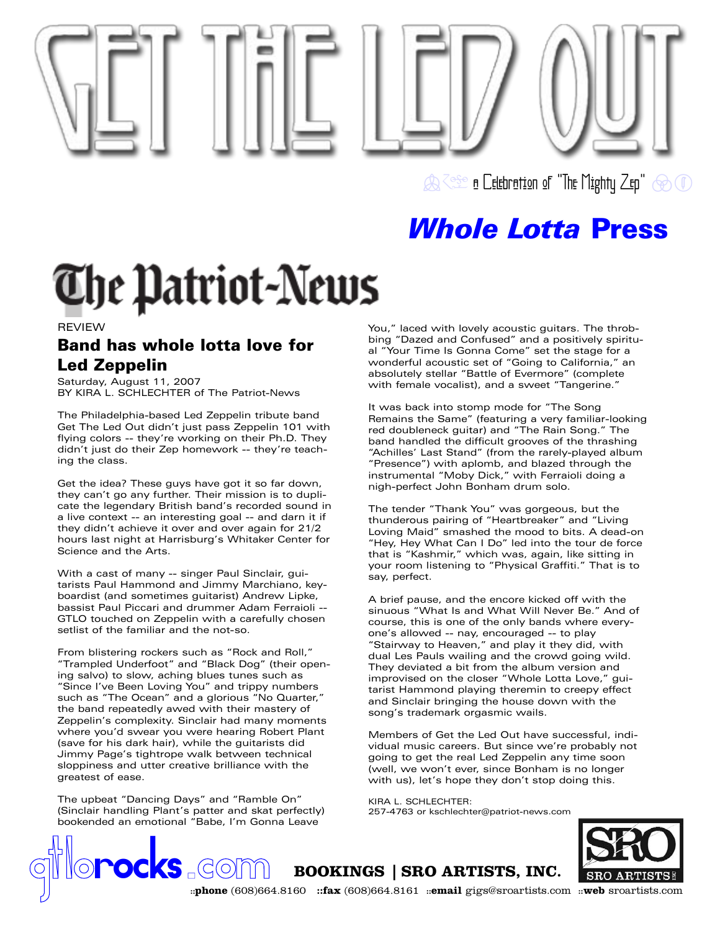

**A Referation of "The Mighty Zep" @ 10** 

## *Whole Lotta* Press

# **The Patriot-News**

REVIEW

## Band has whole lotta love for Led Zeppelin

Saturday, August 11, 2007 BY KIRA L. SCHLECHTER of The Patriot-News

The Philadelphia-based Led Zeppelin tribute band Get The Led Out didn't just pass Zeppelin 101 with flying colors -- they're working on their Ph.D. They didn't just do their Zep homework -- they're teaching the class.

Get the idea? These guys have got it so far down, they can't go any further. Their mission is to duplicate the legendary British band's recorded sound in a live context -- an interesting goal -- and darn it if they didn't achieve it over and over again for 21/2 hours last night at Harrisburg's Whitaker Center for Science and the Arts.

With a cast of many -- singer Paul Sinclair, guitarists Paul Hammond and Jimmy Marchiano, keyboardist (and sometimes guitarist) Andrew Lipke, bassist Paul Piccari and drummer Adam Ferraioli -- GTLO touched on Zeppelin with a carefully chosen setlist of the familiar and the not-so.

From blistering rockers such as "Rock and Roll," "Trampled Underfoot" and "Black Dog" (their opening salvo) to slow, aching blues tunes such as "Since I've Been Loving You" and trippy numbers such as "The Ocean" and a glorious "No Quarter," the band repeatedly awed with their mastery of Zeppelin's complexity. Sinclair had many moments where you'd swear you were hearing Robert Plant (save for his dark hair), while the guitarists did Jimmy Page's tightrope walk between technical sloppiness and utter creative brilliance with the greatest of ease.

The upbeat "Dancing Days" and "Ramble On" (Sinclair handling Plant's patter and skat perfectly) bookended an emotional "Babe, I'm Gonna Leave

You," laced with lovely acoustic guitars. The throbbing "Dazed and Confused" and a positively spiritual "Your Time Is Gonna Come" set the stage for a wonderful acoustic set of "Going to California," an absolutely stellar "Battle of Evermore" (complete with female vocalist), and a sweet "Tangerine."

It was back into stomp mode for "The Song Remains the Same" (featuring a very familiar-looking red doubleneck guitar) and "The Rain Song." The band handled the difficult grooves of the thrashing "Achilles' Last Stand" (from the rarely-played album "Presence") with aplomb, and blazed through the instrumental "Moby Dick," with Ferraioli doing a nigh-perfect John Bonham drum solo.

The tender "Thank You" was gorgeous, but the thunderous pairing of "Heartbreaker" and "Living Loving Maid" smashed the mood to bits. A dead-on "Hey, Hey What Can I Do" led into the tour de force that is "Kashmir," which was, again, like sitting in your room listening to "Physical Graffiti." That is to say, perfect.

A brief pause, and the encore kicked off with the sinuous "What Is and What Will Never Be." And of course, this is one of the only bands where everyone's allowed -- nay, encouraged -- to play "Stairway to Heaven," and play it they did, with dual Les Pauls wailing and the crowd going wild. They deviated a bit from the album version and improvised on the closer "Whole Lotta Love," guitarist Hammond playing theremin to creepy effect and Sinclair bringing the house down with the song's trademark orgasmic wails.

Members of Get the Led Out have successful, individual music careers. But since we're probably not going to get the real Led Zeppelin any time soon (well, we won't ever, since Bonham is no longer with us), let's hope they don't stop doing this.

KIRA L. SCHLECHTER: 257-4763 or kschlechter@patriot-news.com



**example 10 and COVID 300 KINGS | SRO ARTISTS, INC.**<br> **SRO ARTISTS**<br> **index** (608)664.8160 **::fax** (608)664.8161 **::email** gigs@sroartists.com **::web** sroartists.com